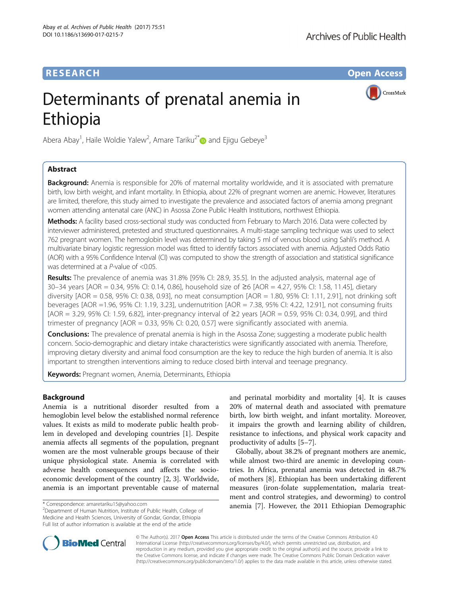# **RESEARCH CHE Open Access**

CrossMark

# Determinants of prenatal anemia in Ethiopia

Abera Abay<sup>1</sup>, Haile Woldie Yalew<sup>2</sup>, Amare Tariku<sup>2\*</sup> and Ejigu Gebeye<sup>3</sup>

## Abstract

**Background:** Anemia is responsible for 20% of maternal mortality worldwide, and it is associated with premature birth, low birth weight, and infant mortality. In Ethiopia, about 22% of pregnant women are anemic. However, literatures are limited, therefore, this study aimed to investigate the prevalence and associated factors of anemia among pregnant women attending antenatal care (ANC) in Asossa Zone Public Health Institutions, northwest Ethiopia.

Methods: A facility based cross-sectional study was conducted from February to March 2016. Data were collected by interviewer administered, pretested and structured questionnaires. A multi-stage sampling technique was used to select 762 pregnant women. The hemoglobin level was determined by taking 5 ml of venous blood using Sahli's method. A multivariate binary logistic regression model was fitted to identify factors associated with anemia. Adjusted Odds Ratio (AOR) with a 95% Confidence Interval (CI) was computed to show the strength of association and statistical significance was determined at a P-value of <0.05.

Results: The prevalence of anemia was 31.8% [95% CI: 28.9, 35.5]. In the adjusted analysis, maternal age of 30–34 years [AOR = 0.34, 95% CI: 0.14, 0.86], household size of ≥6 [AOR = 4.27, 95% CI: 1.58, 11.45], dietary diversity [AOR = 0.58, 95% CI: 0.38, 0.93], no meat consumption [AOR = 1.80, 95% CI: 1.11, 2.91], not drinking soft beverages [AOR =1.96, 95% CI: 1.19, 3.23], undernutrition [AOR = 7.38, 95% CI: 4.22, 12.91], not consuming fruits [AOR = 3.29, 95% CI: 1.59, 6.82], inter-pregnancy interval of ≥2 years [AOR = 0.59, 95% CI: 0.34, 0.99], and third trimester of pregnancy [AOR = 0.33, 95% CI: 0.20, 0.57] were significantly associated with anemia.

**Conclusions:** The prevalence of prenatal anemia is high in the Asossa Zone; suggesting a moderate public health concern. Socio-demographic and dietary intake characteristics were significantly associated with anemia. Therefore, improving dietary diversity and animal food consumption are the key to reduce the high burden of anemia. It is also important to strengthen interventions aiming to reduce closed birth interval and teenage pregnancy.

Keywords: Pregnant women, Anemia, Determinants, Ethiopia

## Background

Anemia is a nutritional disorder resulted from a hemoglobin level below the established normal reference values. It exists as mild to moderate public health problem in developed and developing countries [[1](#page-8-0)]. Despite anemia affects all segments of the population, pregnant women are the most vulnerable groups because of their unique physiological state. Anemia is correlated with adverse health consequences and affects the socioeconomic development of the country [[2, 3\]](#page-8-0). Worldwide, anemia is an important preventable cause of maternal

and perinatal morbidity and mortality [\[4\]](#page-8-0). It is causes 20% of maternal death and associated with premature birth, low birth weight, and infant mortality. Moreover, it impairs the growth and learning ability of children, resistance to infections, and physical work capacity and productivity of adults [\[5](#page-8-0)–[7](#page-8-0)].

Globally, about 38.2% of pregnant mothers are anemic, while almost two-third are anemic in developing countries. In Africa, prenatal anemia was detected in 48.7% of mothers [\[8\]](#page-8-0). Ethiopian has been undertaking different measures (iron-folate supplementation, malaria treatment and control strategies, and deworming) to control \* Correspondence: [amaretariku15@yahoo.com](mailto:amaretariku15@yahoo.com) **anemia** [[7\]](#page-8-0). However, the 2011 Ethiopian Demographic



© The Author(s). 2017 **Open Access** This article is distributed under the terms of the Creative Commons Attribution 4.0 International License [\(http://creativecommons.org/licenses/by/4.0/](http://creativecommons.org/licenses/by/4.0/)), which permits unrestricted use, distribution, and reproduction in any medium, provided you give appropriate credit to the original author(s) and the source, provide a link to the Creative Commons license, and indicate if changes were made. The Creative Commons Public Domain Dedication waiver [\(http://creativecommons.org/publicdomain/zero/1.0/](http://creativecommons.org/publicdomain/zero/1.0/)) applies to the data made available in this article, unless otherwise stated.

<sup>&</sup>lt;sup>2</sup>Department of Human Nutrition, Institute of Public Health, College of Medicine and Health Sciences, University of Gondar, Gondar, Ethiopia Full list of author information is available at the end of the article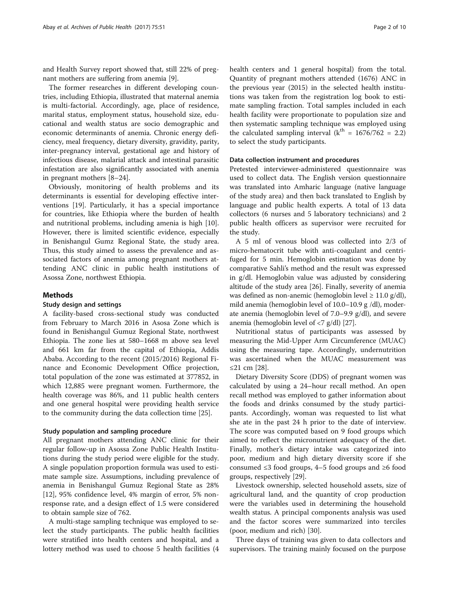and Health Survey report showed that, still 22% of pregnant mothers are suffering from anemia [[9\]](#page-8-0).

The former researches in different developing countries, including Ethiopia, illustrated that maternal anemia is multi-factorial. Accordingly, age, place of residence, marital status, employment status, household size, educational and wealth status are socio demographic and economic determinants of anemia. Chronic energy deficiency, meal frequency, dietary diversity, gravidity, parity, inter-pregnancy interval, gestational age and history of infectious disease, malarial attack and intestinal parasitic infestation are also significantly associated with anemia in pregnant mothers [[8](#page-8-0)–[24](#page-8-0)].

Obviously, monitoring of health problems and its determinants is essential for developing effective interventions [\[19\]](#page-8-0). Particularly, it has a special importance for countries, like Ethiopia where the burden of health and nutritional problems, including amenia is high [\[10](#page-8-0)]. However, there is limited scientific evidence, especially in Benishangul Gumz Regional State, the study area. Thus, this study aimed to assess the prevalence and associated factors of anemia among pregnant mothers attending ANC clinic in public health institutions of Asossa Zone, northwest Ethiopia.

## Methods

## Study design and settings

A facility-based cross-sectional study was conducted from February to March 2016 in Asosa Zone which is found in Benishangul Gumuz Regional State, northwest Ethiopia. The zone lies at 580–1668 m above sea level and 661 km far from the capital of Ethiopia, Addis Ababa. According to the recent (2015/2016) Regional Finance and Economic Development Office projection, total population of the zone was estimated at 377852, in which 12,885 were pregnant women. Furthermore, the health coverage was 86%, and 11 public health centers and one general hospital were providing health service to the community during the data collection time [\[25](#page-8-0)].

## Study population and sampling procedure

All pregnant mothers attending ANC clinic for their regular follow-up in Asossa Zone Public Health Institutions during the study period were eligible for the study. A single population proportion formula was used to estimate sample size. Assumptions, including prevalence of anemia in Benishangul Gumuz Regional State as 28% [[12\]](#page-8-0), 95% confidence level, 4% margin of error, 5% nonresponse rate, and a design effect of 1.5 were considered to obtain sample size of 762.

A multi-stage sampling technique was employed to select the study participants. The public health facilities were stratified into health centers and hospital, and a lottery method was used to choose 5 health facilities (4 health centers and 1 general hospital) from the total. Quantity of pregnant mothers attended (1676) ANC in the previous year (2015) in the selected health institutions was taken from the registration log book to estimate sampling fraction. Total samples included in each health facility were proportionate to population size and then systematic sampling technique was employed using the calculated sampling interval  $(k<sup>th</sup> = 1676/762 = 2.2)$ to select the study participants.

## Data collection instrument and procedures

Pretested interviewer-administered questionnaire was used to collect data. The English version questionnaire was translated into Amharic language (native language of the study area) and then back translated to English by language and public health experts. A total of 13 data collectors (6 nurses and 5 laboratory technicians) and 2 public health officers as supervisor were recruited for the study.

A 5 ml of venous blood was collected into 2/3 of micro-hematocrit tube with anti-coagulant and centrifuged for 5 min. Hemoglobin estimation was done by comparative Sahli's method and the result was expressed in g/dl. Hemoglobin value was adjusted by considering altitude of the study area [[26](#page-8-0)]. Finally, severity of anemia was defined as non-anemic (hemoglobin level  $\geq 11.0$  g/dl), mild anemia (hemoglobin level of 10.0–10.9 g /dl), moderate anemia (hemoglobin level of 7.0–9.9 g/dl), and severe anemia (hemoglobin level of <7 g/dl) [[27](#page-8-0)].

Nutritional status of participants was assessed by measuring the Mid-Upper Arm Circumference (MUAC) using the measuring tape. Accordingly, undernutrition was ascertained when the MUAC measurement was ≤21 cm [[28](#page-8-0)].

Dietary Diversity Score (DDS) of pregnant women was calculated by using a 24–hour recall method. An open recall method was employed to gather information about the foods and drinks consumed by the study participants. Accordingly, woman was requested to list what she ate in the past 24 h prior to the date of interview. The score was computed based on 9 food groups which aimed to reflect the micronutrient adequacy of the diet. Finally, mother's dietary intake was categorized into poor, medium and high dietary diversity score if she consumed ≤3 food groups, 4–5 food groups and ≥6 food groups, respectively [\[29](#page-8-0)].

Livestock ownership, selected household assets, size of agricultural land, and the quantity of crop production were the variables used in determining the household wealth status. A principal components analysis was used and the factor scores were summarized into terciles (poor, medium and rich) [\[30](#page-8-0)].

Three days of training was given to data collectors and supervisors. The training mainly focused on the purpose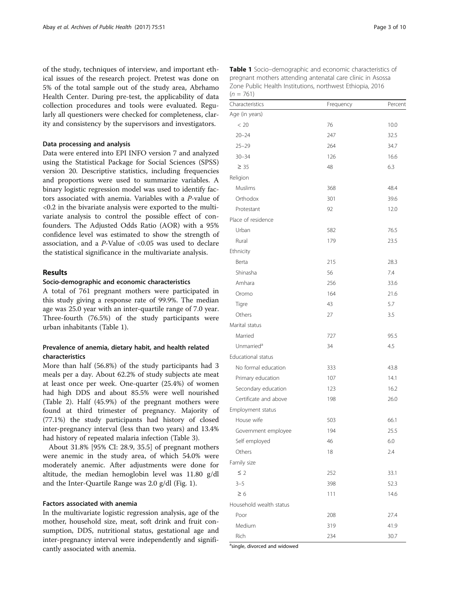of the study, techniques of interview, and important ethical issues of the research project. Pretest was done on 5% of the total sample out of the study area, Abrhamo Health Center. During pre-test, the applicability of data collection procedures and tools were evaluated. Regularly all questioners were checked for completeness, clarity and consistency by the supervisors and investigators.

## Data processing and analysis

Data were entered into EPI INFO version 7 and analyzed using the Statistical Package for Social Sciences (SPSS) version 20. Descriptive statistics, including frequencies and proportions were used to summarize variables. A binary logistic regression model was used to identify factors associated with anemia. Variables with a P-value of <0.2 in the bivariate analysis were exported to the multivariate analysis to control the possible effect of confounders. The Adjusted Odds Ratio (AOR) with a 95% confidence level was estimated to show the strength of association, and a  $P$ -Value of <0.05 was used to declare the statistical significance in the multivariate analysis.

## Results

### Socio-demographic and economic characteristics

A total of 761 pregnant mothers were participated in this study giving a response rate of 99.9%. The median age was 25.0 year with an inter-quartile range of 7.0 year. Three-fourth (76.5%) of the study participants were urban inhabitants (Table 1).

## Prevalence of anemia, dietary habit, and health related characteristics

More than half (56.8%) of the study participants had 3 meals per a day. About 62.2% of study subjects ate meat at least once per week. One-quarter (25.4%) of women had high DDS and about 85.5% were well nourished (Table [2](#page-3-0)). Half (45.9%) of the pregnant mothers were found at third trimester of pregnancy. Majority of (77.1%) the study participants had history of closed inter-pregnancy interval (less than two years) and 13.4% had history of repeated malaria infection (Table [3](#page-3-0)).

About 31.8% [95% CI: 28.9, 35.5] of pregnant mothers were anemic in the study area, of which 54.0% were moderately anemic. After adjustments were done for altitude, the median hemoglobin level was 11.80 g/dl and the Inter-Quartile Range was 2.0 g/dl (Fig. [1\)](#page-4-0).

## Factors associated with anemia

In the multivariate logistic regression analysis, age of the mother, household size, meat, soft drink and fruit consumption, DDS, nutritional status, gestational age and inter-pregnancy interval were independently and significantly associated with anemia.

| Characteristics         | Frequency | Percent |
|-------------------------|-----------|---------|
| Age (in years)          |           |         |
| < 20                    | 76        | 10.0    |
| $20 - 24$               | 247       | 32.5    |
| $25 - 29$               | 264       | 34.7    |
| $30 - 34$               | 126       | 16.6    |
| $\geq 35$               | 48        | 6.3     |
| Religion                |           |         |
| Muslims                 | 368       | 48.4    |
| Orthodox                | 301       | 39.6    |
| Protestant              | 92        | 12.0    |
| Place of residence      |           |         |
| Urban                   | 582       | 76.5    |
| Rural                   | 179       | 23.5    |
| Ethnicity               |           |         |
| Berta                   | 215       | 28.3    |
| Shinasha                | 56        | 7.4     |
| Amhara                  | 256       | 33.6    |
| Oromo                   | 164       | 21.6    |
| Tigre                   | 43        | 5.7     |
| Others                  | 27        | 3.5     |
| Marital status          |           |         |
| Married                 | 727       | 95.5    |
| Unmarried <sup>a</sup>  | 34        | 4.5     |
| Educational status      |           |         |
| No formal education     | 333       | 43.8    |
| Primary education       | 107       | 14.1    |
| Secondary education     | 123       | 16.2    |
| Certificate and above   | 198       | 26.0    |
| Employment status       |           |         |
| House wife              | 503       | 66.1    |
| Government employee     | 194       | 25.5    |
| Self employed           | 46        | 6.0     |
| Others                  | 18        | 2.4     |
| Family size             |           |         |
| $\leq$ 2                | 252       | 33.1    |
| $3 - 5$                 | 398       | 52.3    |
| $\geq 6$                | 111       | 14.6    |
| Household wealth status |           |         |
| Poor                    | 208       | 27.4    |
| Medium                  | 319       | 41.9    |
| Rich                    | 234       | 30.7    |

<sup>a</sup>single, divorced and widowed

Table 1 Socio–demographic and economic characteristics of pregnant mothers attending antenatal care clinic in Asossa Zone Public Health Institutions, northwest Ethiopia, 2016

 $(n = 761)$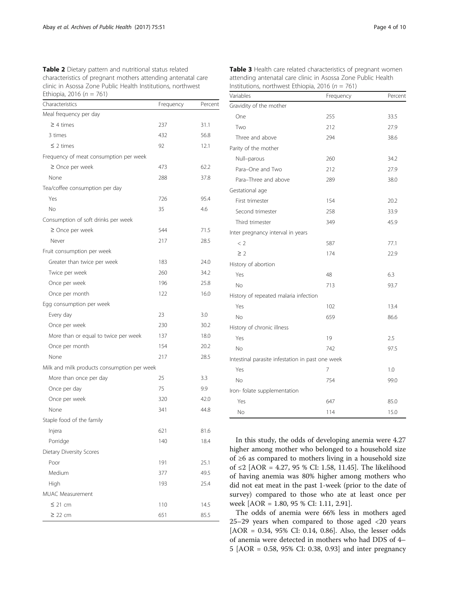<span id="page-3-0"></span>Table 2 Dietary pattern and nutritional status related characteristics of pregnant mothers attending antenatal care clinic in Asossa Zone Public Health Institutions, northwest Ethiopia, 2016 ( $n = 761$ )

| Characteristics                             | Frequency | Percent |
|---------------------------------------------|-----------|---------|
| Meal frequency per day                      |           |         |
| $\geq$ 4 times                              | 237       | 31.1    |
| 3 times                                     | 432       | 56.8    |
| $\leq$ 2 times                              | 92        | 12.1    |
| Frequency of meat consumption per week      |           |         |
| $\geq$ Once per week                        | 473       | 62.2    |
| None                                        | 288       | 37.8    |
| Tea/coffee consumption per day              |           |         |
| Yes                                         | 726       | 95.4    |
| No                                          | 35        | 4.6     |
| Consumption of soft drinks per week         |           |         |
| $\geq$ Once per week                        | 544       | 71.5    |
| Never                                       | 217       | 28.5    |
| Fruit consumption per week                  |           |         |
| Greater than twice per week                 | 183       | 24.0    |
| Twice per week                              | 260       | 34.2    |
| Once per week                               | 196       | 25.8    |
| Once per month                              | 122       | 16.0    |
| Egg consumption per week                    |           |         |
| Every day                                   | 23        | 3.0     |
| Once per week                               | 230       | 30.2    |
| More than or equal to twice per week        | 137       | 18.0    |
| Once per month                              | 154       | 20.2    |
| None                                        | 217       | 28.5    |
| Milk and milk products consumption per week |           |         |
| More than once per day                      | 25        | 3.3     |
| Once per day                                | 75        | 9.9     |
| Once per week                               | 320       | 42.0    |
| None                                        | 341       | 44.8    |
| Staple food of the family                   |           |         |
| Injera                                      | 621       | 81.6    |
| Porridge                                    | 140       | 18.4    |
| Dietary Diversity Scores                    |           |         |
| Poor                                        | 191       | 25.1    |
| Medium                                      | 377       | 49.5    |
| High                                        | 193       | 25.4    |
| MUAC Measurement                            |           |         |
| ≤ 21 cm                                     | 110       | 14.5    |
| $\geq$ 22 cm                                | 651       | 85.5    |

| Table 3 Health care related characteristics of pregnant women |
|---------------------------------------------------------------|
| attending antenatal care clinic in Asossa Zone Public Health  |
| Institutions, northwest Ethiopia, 2016 ( $n = 761$ )          |

| Variables                                        | Frequency | Percent |
|--------------------------------------------------|-----------|---------|
| Gravidity of the mother                          |           |         |
| One                                              | 255       | 33.5    |
| Two                                              | 212       | 27.9    |
| Three and above                                  | 294       | 38.6    |
| Parity of the mother                             |           |         |
| Null-parous                                      | 260       | 34.2    |
| Para-One and Two                                 | 212       | 27.9    |
| Para-Three and above                             | 289       | 38.0    |
| Gestational age                                  |           |         |
| First trimester                                  | 154       | 20.2    |
| Second trimester                                 | 258       | 33.9    |
| Third trimester                                  | 349       | 45.9    |
| Inter pregnancy interval in years                |           |         |
| < 2                                              | 587       | 77.1    |
| $\geq$ 2                                         | 174       | 22.9    |
| History of abortion                              |           |         |
| Yes                                              | 48        | 6.3     |
| No                                               | 713       | 93.7    |
| History of repeated malaria infection            |           |         |
| Yes                                              | 102       | 13.4    |
| No                                               | 659       | 86.6    |
| History of chronic illness                       |           |         |
| Yes                                              | 19        | 2.5     |
| No                                               | 742       | 97.5    |
| Intestinal parasite infestation in past one week |           |         |
| Yes                                              | 7         | 1.0     |
| No                                               | 754       | 99.0    |
| Iron- folate supplementation                     |           |         |
| Yes                                              | 647       | 85.0    |
| No                                               | 114       | 15.0    |

In this study, the odds of developing anemia were 4.27 higher among mother who belonged to a household size of ≥6 as compared to mothers living in a household size of ≤2 [AOR = 4.27, 95 % CI: 1.58, 11.45]. The likelihood of having anemia was 80% higher among mothers who did not eat meat in the past 1-week (prior to the date of survey) compared to those who ate at least once per week [AOR = 1.80, 95 % CI: 1.11, 2.91].

The odds of anemia were 66% less in mothers aged 25–29 years when compared to those aged <20 years [AOR = 0.34, 95% CI: 0.14, 0.86]. Also, the lesser odds of anemia were detected in mothers who had DDS of 4– 5 [AOR = 0.58, 95% CI: 0.38, 0.93] and inter pregnancy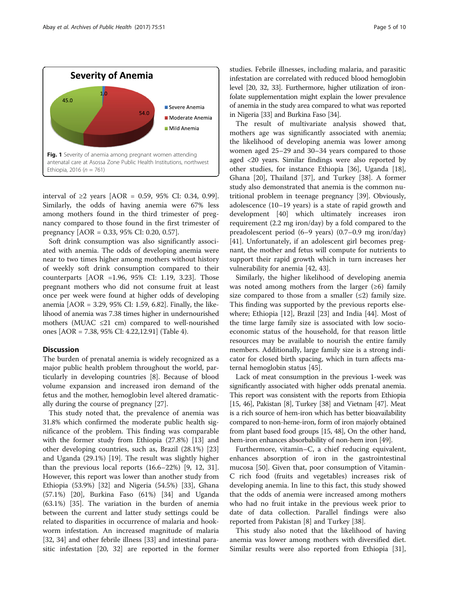<span id="page-4-0"></span>

interval of ≥2 years [AOR = 0.59, 95% CI: 0.34, 0.99]. Similarly, the odds of having anemia were 67% less among mothers found in the third trimester of pregnancy compared to those found in the first trimester of pregnancy [AOR = 0.33, 95% CI: 0.20, 0.57].

Soft drink consumption was also significantly associated with anemia. The odds of developing anemia were near to two times higher among mothers without history of weekly soft drink consumption compared to their counterparts [AOR =1.96, 95% CI: 1.19, 3.23]. Those pregnant mothers who did not consume fruit at least once per week were found at higher odds of developing anemia [AOR = 3.29, 95% CI: 1.59, 6.82]. Finally, the likelihood of anemia was 7.38 times higher in undernourished mothers (MUAC  $\leq$ 21 cm) compared to well-nourished ones [AOR = 7.38, 95% CI: 4.22,12.91] (Table [4\)](#page-5-0).

## **Discussion**

The burden of prenatal anemia is widely recognized as a major public health problem throughout the world, particularly in developing countries [[8\]](#page-8-0). Because of blood volume expansion and increased iron demand of the fetus and the mother, hemoglobin level altered dramatically during the course of pregnancy [\[27\]](#page-8-0).

This study noted that, the prevalence of anemia was 31.8% which confirmed the moderate public health significance of the problem. This finding was comparable with the former study from Ethiopia (27.8%) [[13\]](#page-8-0) and other developing countries, such as, Brazil (28.1%) [[23](#page-8-0)] and Uganda (29.1%) [\[19](#page-8-0)]. The result was slightly higher than the previous local reports (16.6–22%) [\[9](#page-8-0), [12, 31](#page-8-0)]. However, this report was lower than another study from Ethiopia (53.9%) [\[32](#page-8-0)] and Nigeria (54.5%) [[33\]](#page-8-0), Ghana (57.1%) [[20\]](#page-8-0), Burkina Faso (61%) [\[34\]](#page-8-0) and Uganda (63.1%) [[35\]](#page-8-0). The variation in the burden of anemia between the current and latter study settings could be related to disparities in occurrence of malaria and hookworm infestation. An increased magnitude of malaria [[32, 34\]](#page-8-0) and other febrile illness [\[33](#page-8-0)] and intestinal parasitic infestation [[20, 32\]](#page-8-0) are reported in the former studies. Febrile illnesses, including malaria, and parasitic infestation are correlated with reduced blood hemoglobin level [\[20, 32](#page-8-0), [33\]](#page-8-0). Furthermore, higher utilization of ironfolate supplementation might explain the lower prevalence of anemia in the study area compared to what was reported in Nigeria [\[33](#page-8-0)] and Burkina Faso [\[34](#page-8-0)].

The result of multivariate analysis showed that, mothers age was significantly associated with anemia; the likelihood of developing anemia was lower among women aged 25–29 and 30–34 years compared to those aged <20 years. Similar findings were also reported by other studies, for instance Ethiopia [\[36\]](#page-8-0), Uganda [\[18](#page-8-0)], Ghana [\[20](#page-8-0)], Thailand [[37\]](#page-8-0), and Turkey [\[38](#page-8-0)]. A former study also demonstrated that anemia is the common nutritional problem in teenage pregnancy [\[39\]](#page-8-0). Obviously, adolescence (10–19 years) is a state of rapid growth and development [[40\]](#page-8-0) which ultimately increases iron requirement (2.2 mg iron/day) by a fold compared to the preadolescent period (6–9 years) (0.7–0.9 mg iron/day) [[41\]](#page-8-0). Unfortunately, if an adolescent girl becomes pregnant, the mother and fetus will compute for nutrients to support their rapid growth which in turn increases her vulnerability for anemia [\[42](#page-8-0), [43](#page-8-0)].

Similarly, the higher likelihood of developing anemia was noted among mothers from the larger  $(\geq 6)$  family size compared to those from a smaller  $(\leq 2)$  family size. This finding was supported by the previous reports elsewhere; Ethiopia [[12](#page-8-0)], Brazil [\[23](#page-8-0)] and India [\[44\]](#page-8-0). Most of the time large family size is associated with low socioeconomic status of the household, for that reason little resources may be available to nourish the entire family members. Additionally, large family size is a strong indicator for closed birth spacing, which in turn affects maternal hemoglobin status [\[45](#page-8-0)].

Lack of meat consumption in the previous 1-week was significantly associated with higher odds prenatal anemia. This report was consistent with the reports from Ethiopia [[15](#page-8-0), [46\]](#page-8-0), Pakistan [\[8](#page-8-0)], Turkey [[38](#page-8-0)] and Vietnam [\[47\]](#page-8-0). Meat is a rich source of hem-iron which has better bioavailability compared to non-heme-iron, form of iron majorly obtained from plant based food groups [\[15, 48](#page-8-0)], On the other hand, hem-iron enhances absorbability of non-hem iron [\[49\]](#page-9-0).

Furthermore, vitamin–C, a chief reducing equivalent, enhances absorption of iron in the gastrointestinal mucosa [[50](#page-9-0)]. Given that, poor consumption of Vitamin-C rich food (fruits and vegetables) increases risk of developing anemia. In line to this fact, this study showed that the odds of anemia were increased among mothers who had no fruit intake in the previous week prior to date of data collection. Parallel findings were also reported from Pakistan [[8\]](#page-8-0) and Turkey [[38\]](#page-8-0).

This study also noted that the likelihood of having anemia was lower among mothers with diversified diet. Similar results were also reported from Ethiopia [\[31](#page-8-0)],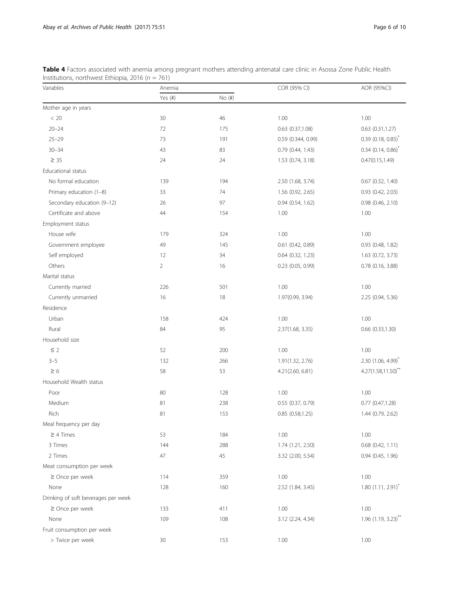| Variables                           | Anemia         |             | COR (95% CI)          | AOR (95%CI)                       |
|-------------------------------------|----------------|-------------|-----------------------|-----------------------------------|
|                                     | Yes (#)        | $No$ $(\#)$ |                       |                                   |
| Mother age in years                 |                |             |                       |                                   |
| < 20                                | 30             | 46          | 1.00                  | 1.00                              |
| $20 - 24$                           | 72             | 175         | 0.63 (0.37,1.08)      | $0.63$ $(0.31, 1.27)$             |
| $25 - 29$                           | 73             | 191         | 0.59 (0.344, 0.99)    | $0.39$ (0.18, 0.85) <sup>*</sup>  |
| $30 - 34$                           | 43             | 83          | 0.79 (0.44, 1.43)     | $0.34$ (0.14, 0.86) <sup>*</sup>  |
| $\geq$ 35                           | 24             | 24          | 1.53 (0.74, 3.18)     | 0.47(0.15, 1.49)                  |
| Educational status                  |                |             |                       |                                   |
| No formal education                 | 139            | 194         | 2.50 (1.68, 3.74)     | $0.67$ $(0.32, 1.40)$             |
| Primary education (1-8)             | 33             | 74          | 1.56 (0.92, 2.65)     | 0.93 (0.42, 2.03)                 |
| Secondary education (9-12)          | 26             | 97          | 0.94(0.54, 1.62)      | 0.98 (0.46, 2.10)                 |
| Certificate and above               | 44             | 154         | 1.00                  | 1.00                              |
| Employment status                   |                |             |                       |                                   |
| House wife                          | 179            | 324         | 1.00                  | 1.00                              |
| Government employee                 | 49             | 145         | 0.61 (0.42, 0.89)     | 0.93 (0.48, 1.82)                 |
| Self employed                       | 12             | 34          | 0.64 (0.32, 1.23)     | 1.63 (0.72, 3.73)                 |
| Others                              | $\overline{2}$ | 16          | 0.23 (0.05, 0.99)     | 0.78 (0.16, 3.88)                 |
| Marital status                      |                |             |                       |                                   |
| Currently married                   | 226            | 501         | 1.00                  | 1.00                              |
| Currently unmarried                 | 16             | 18          | 1.97(0.99, 3.94)      | 2.25 (0.94, 5.36)                 |
| Residence                           |                |             |                       |                                   |
| Urban                               | 158            | 424         | 1.00                  | 1.00                              |
| Rural                               | 84             | 95          | 2.37(1.68, 3.35)      | 0.66 (0.33,1.30)                  |
| Household size                      |                |             |                       |                                   |
| $\leq$ 2                            | 52             | 200         | 1.00                  | 1.00                              |
| $3 - 5$                             | 132            | 266         | 1.91(1.32, 2.76)      | 2.30 (1.06, 4.99)*                |
| $\geq 6$                            | 58             | 53          | 4.21(2.60, 6.81)      | $4.27(1.58, 11.50)$ **            |
| Household Wealth status             |                |             |                       |                                   |
| Poor                                | 80             | 128         | 1.00                  | 1.00                              |
| Medium                              | 81             | 238         | $0.55$ $(0.37, 0.79)$ | $0.77$ $(0.47, 1.28)$             |
| Rich                                | 81             | 153         | 0.85(0.58, 1.25)      | 1.44 (0.79, 2.62)                 |
| Meal frequency per day              |                |             |                       |                                   |
| $\geq 4$ Times                      | 53             | 184         | 1.00                  | 1.00                              |
| 3 Times                             | 144            | 288         | 1.74 (1.21, 2.50)     | $0.68$ $(0.42, 1.11)$             |
| 2 Times                             | 47             | 45          | 3.32 (2.00, 5.54)     | 0.94 (0.45, 1.96)                 |
| Meat consumption per week           |                |             |                       |                                   |
| $\geq$ Once per week                | 114            | 359         | 1.00                  | 1.00                              |
| None                                | 128            | 160         | 2.52 (1.84, 3.45)     | $1.80(1.11, 2.91)^{*}$            |
| Drinking of soft beverages per week |                |             |                       |                                   |
| $\geq$ Once per week                | 133            | 411         | 1.00                  | 1.00                              |
| None                                | 109            | 108         | 3.12 (2.24, 4.34)     | $1.96$ (1.19, 3.23) <sup>**</sup> |
| Fruit consumption per week          |                |             |                       |                                   |
| > Twice per week                    | 30             | 153         | 1.00                  | 1.00                              |

<span id="page-5-0"></span>Table 4 Factors associated with anemia among pregnant mothers attending antenatal care clinic in Asossa Zone Public Health Institutions, northwest Ethiopia, 2016 ( $n = 761$ )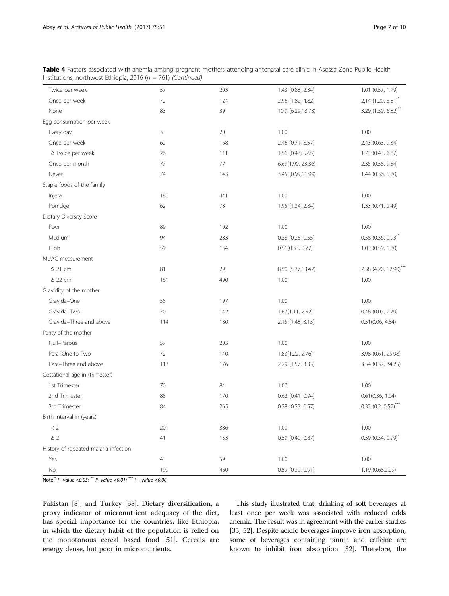Table 4 Factors associated with anemia among pregnant mothers attending antenatal care clinic in Asossa Zone Public Health Institutions, northwest Ethiopia, 2016 ( $n = 761$ ) (Continued)

| Twice per week                        | 57  | 203 | 1.43 (0.88, 2.34)     | 1.01 (0.57, 1.79)                 |
|---------------------------------------|-----|-----|-----------------------|-----------------------------------|
| Once per week                         | 72  | 124 | 2.96 (1.82, 4.82)     | $2.14$ (1.20, 3.81) <sup>*</sup>  |
| None                                  | 83  | 39  | 10.9 (6.29,18.73)     | 3.29 (1.59, 6.82)**               |
| Egg consumption per week              |     |     |                       |                                   |
| Every day                             | 3   | 20  | 1.00                  | 1.00                              |
| Once per week                         | 62  | 168 | 2.46 (0.71, 8.57)     | 2.43 (0.63, 9.34)                 |
| $\ge$ Twice per week                  | 26  | 111 | 1.56 (0.43, 5.65)     | 1.73 (0.43, 6.87)                 |
| Once per month                        | 77  | 77  | 6.67(1.90, 23.36)     | 2.35 (0.58, 9.54)                 |
| Never                                 | 74  | 143 | 3.45 (0.99,11.99)     | 1.44 (0.36, 5.80)                 |
| Staple foods of the family            |     |     |                       |                                   |
| Injera                                | 180 | 441 | 1.00                  | 1.00                              |
| Porridge                              | 62  | 78  | 1.95 (1.34, 2.84)     | 1.33 (0.71, 2.49)                 |
| Dietary Diversity Score               |     |     |                       |                                   |
| Poor                                  | 89  | 102 | 1.00                  | 1.00                              |
| Medium                                | 94  | 283 | $0.38$ (0.26, 0.55)   | $0.58$ (0.36, 0.93) <sup>*</sup>  |
| High                                  | 59  | 134 | 0.51(0.33, 0.77)      | 1.03 (0.59, 1.80)                 |
| MUAC measurement                      |     |     |                       |                                   |
| $\leq$ 21 cm                          | 81  | 29  | 8.50 (5.37,13.47)     | 7.38 (4.20, 12.90)***             |
| $\geq$ 22 cm                          | 161 | 490 | 1.00                  | 1.00                              |
| Gravidity of the mother               |     |     |                       |                                   |
| Gravida-One                           | 58  | 197 | 1.00                  | 1.00                              |
| Gravida-Two                           | 70  | 142 | 1.67(1.11, 2.52)      | 0.46 (0.07, 2.79)                 |
| Gravida-Three and above               | 114 | 180 | 2.15 (1.48, 3.13)     | 0.51(0.06, 4.54)                  |
| Parity of the mother                  |     |     |                       |                                   |
| Null-Parous                           | 57  | 203 | 1.00                  | 1.00                              |
| Para-One to Two                       | 72  | 140 | 1.83(1.22, 2.76)      | 3.98 (0.61, 25.98)                |
| Para-Three and above                  | 113 | 176 | 2.29 (1.57, 3.33)     | 3.54 (0.37, 34.25)                |
| Gestational age in (trimester)        |     |     |                       |                                   |
| 1st Trimester                         | 70  | 84  | 1.00                  | 1.00                              |
| 2nd Trimester                         | 88  | 170 | $0.62$ (0.41, 0.94)   | 0.61(0.36, 1.04)                  |
| 3rd Trimester                         | 84  | 265 | $0.38$ $(0.23, 0.57)$ | $0.33$ (0.2, 0.57) <sup>***</sup> |
| Birth interval in (years)             |     |     |                       |                                   |
| < 2                                   | 201 | 386 | 1.00                  | 1.00                              |
| $\geq$ 2                              | 41  | 133 | $0.59$ (0.40, 0.87)   | $0.59$ (0.34, 0.99) <sup>*</sup>  |
| History of repeated malaria infection |     |     |                       |                                   |
| Yes                                   | 43  | 59  | 1.00                  | 1.00                              |
| No                                    | 199 | 460 | 0.59 (0.39, 0.91)     | 1.19 (0.68,2.09)                  |

Note:\* P–value <0.05; \*\* P–value <0.01; \*\*\* P –value <0.00

Pakistan [\[8](#page-8-0)], and Turkey [[38\]](#page-8-0). Dietary diversification, a proxy indicator of micronutrient adequacy of the diet, has special importance for the countries, like Ethiopia, in which the dietary habit of the population is relied on the monotonous cereal based food [[51](#page-9-0)]. Cereals are energy dense, but poor in micronutrients.

This study illustrated that, drinking of soft beverages at least once per week was associated with reduced odds anemia. The result was in agreement with the earlier studies [[35](#page-8-0), [52\]](#page-9-0). Despite acidic beverages improve iron absorption, some of beverages containing tannin and caffeine are known to inhibit iron absorption [\[32\]](#page-8-0). Therefore, the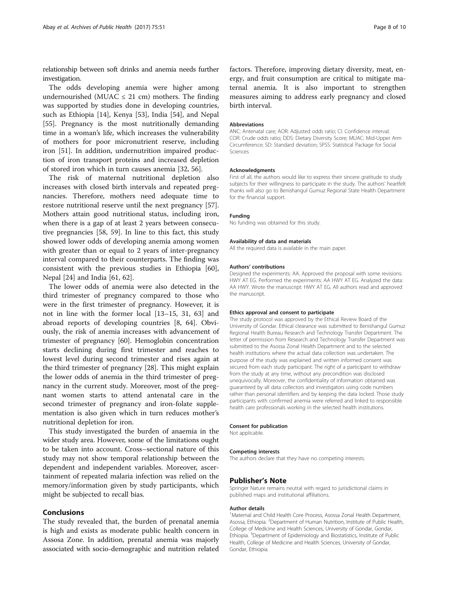relationship between soft drinks and anemia needs further investigation.

The odds developing anemia were higher among undernourished (MUAC  $\leq$  21 cm) mothers. The finding was supported by studies done in developing countries, such as Ethiopia [[14\]](#page-8-0), Kenya [[53](#page-9-0)], India [\[54\]](#page-9-0), and Nepal [[55\]](#page-9-0). Pregnancy is the most nutritionally demanding time in a woman's life, which increases the vulnerability of mothers for poor micronutrient reserve, including iron [[51\]](#page-9-0). In addition, undernutrition impaired production of iron transport proteins and increased depletion of stored iron which in turn causes anemia [[32,](#page-8-0) [56\]](#page-9-0).

The risk of maternal nutritional depletion also increases with closed birth intervals and repeated pregnancies. Therefore, mothers need adequate time to restore nutritional reserve until the next pregnancy [\[57](#page-9-0)]. Mothers attain good nutritional status, including iron, when there is a gap of at least 2 years between consecutive pregnancies [[58, 59\]](#page-9-0). In line to this fact, this study showed lower odds of developing anemia among women with greater than or equal to 2 years of inter-pregnancy interval compared to their counterparts. The finding was consistent with the previous studies in Ethiopia [\[60](#page-9-0)], Nepal [[24\]](#page-8-0) and India [[61](#page-9-0), [62](#page-9-0)].

The lower odds of anemia were also detected in the third trimester of pregnancy compared to those who were in the first trimester of pregnancy. However, it is not in line with the former local [\[13](#page-8-0)–[15, 31,](#page-8-0) [63](#page-9-0)] and abroad reports of developing countries [\[8,](#page-8-0) [64](#page-9-0)]. Obviously, the risk of anemia increases with advancement of trimester of pregnancy [[60](#page-9-0)]. Hemoglobin concentration starts declining during first trimester and reaches to lowest level during second trimester and rises again at the third trimester of pregnancy [[28\]](#page-8-0). This might explain the lower odds of anemia in the third trimester of pregnancy in the current study. Moreover, most of the pregnant women starts to attend antenatal care in the second trimester of pregnancy and iron-folate supplementation is also given which in turn reduces mother's nutritional depletion for iron.

This study investigated the burden of anaemia in the wider study area. However, some of the limitations ought to be taken into account. Cross–sectional nature of this study may not show temporal relationship between the dependent and independent variables. Moreover, ascertainment of repeated malaria infection was relied on the memory/information given by study participants, which might be subjected to recall bias.

## Conclusions

The study revealed that, the burden of prenatal anemia is high and exists as moderate public health concern in Assosa Zone. In addition, prenatal anemia was majorly associated with socio-demographic and nutrition related factors. Therefore, improving dietary diversity, meat, energy, and fruit consumption are critical to mitigate maternal anemia. It is also important to strengthen measures aiming to address early pregnancy and closed birth interval.

#### Abbreviations

ANC: Antenatal care; AOR: Adjusted odds ratio; CI: Confidence interval; COR: Crude odds ratio; DDS: Dietary Diversity Score; MUAC: Mid-Upper Arm Circumference; SD: Standard deviation; SPSS: Statistical Package for Social Sciences

#### Acknowledgments

First of all, the authors would like to express their sincere gratitude to study subjects for their willingness to participate in the study. The authors' heartfelt thanks will also go to Benishangul Gumuz Regional State Health Department for the financial support.

#### Funding

No funding was obtained for this study.

#### Availability of data and materials

All the required data is available in the main paper.

#### Authors' contributions

Designed the experiments: AA. Approved the proposal with some revisions: HWY AT EG. Performed the experiments: AA HWY AT EG. Analyzed the data: AA HWY. Wrote the manuscript: HWY AT EG. All authors read and approved the manuscript.

#### Ethics approval and consent to participate

The study protocol was approved by the Ethical Review Board of the University of Gondar. Ethical clearance was submitted to Benishangul Gumuz Regional Health Bureau Research and Technology Transfer Department. The letter of permission from Research and Technology Transfer Department was submitted to the Asossa Zonal Health Department and to the selected health institutions where the actual data collection was undertaken. The purpose of the study was explained and written informed consent was secured from each study participant. The right of a participant to withdraw from the study at any time, without any precondition was disclosed unequivocally. Moreover, the confidentiality of information obtained was guaranteed by all data collectors and investigators using code numbers rather than personal identifiers and by keeping the data locked. Those study participants with confirmed anemia were referred and linked to responsible health care professionals working in the selected health institutions.

#### Consent for publication

Not applicable.

#### Competing interests

The authors declare that they have no competing interests.

#### Publisher's Note

Springer Nature remains neutral with regard to jurisdictional claims in published maps and institutional affiliations.

#### Author details

<sup>1</sup>Maternal and Child Health Core Process, Asossa Zonal Health Department Asossa, Ethiopia. <sup>2</sup>Department of Human Nutrition, Institute of Public Health College of Medicine and Health Sciences, University of Gondar, Gondar, Ethiopia. <sup>3</sup> Department of Epidemiology and Biostatistics, Institute of Public Health, College of Medicine and Health Sciences, University of Gondar, Gondar, Ethiopia.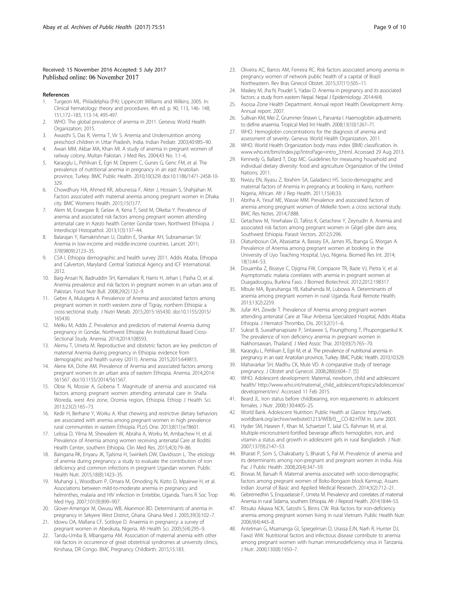## <span id="page-8-0"></span>Received: 15 November 2016 Accepted: 5 July 2017 Published online: 06 November 2017

#### References

- 1. Turgeon ML. Philadelphia (PA): Lippincott Williams and Wilkins; 2005. In: Clinical hematology: theory and procedures. 4th ed. p. 90, 113, 146- 148, 151,172–183, 113-14, 495-497.
- 2. WHO. The global prevalence of anemia in 2011. Geneva: World Health Organization; 2015.
- 3. Awasthi S, Das R, Verma T, Vir S. Anemia and Undernutrition among preschool children in Uttar Pradesh, India. Indian Pediatr. 2003;40:985–90.
- Awan MM, Akbar MA, Khan MI. A study of anemia in pregnant women of railway colony, Multan Pakistan. J Med Res. 2004;43 No. 1:1–6.
- 5. Karaoglu L, Pehlivan E, Egri M, Deprem C, Gunes G, Genc FM, et al. The prevalence of nutritional anemia in pregnancy in an east Anatolian province, Turkey. BMC Public Health. 2010;10(329) doi:[10.1186/1471-2458-10-](http://dx.doi.org/10.1186/1471-2458-10-329) [329.](http://dx.doi.org/10.1186/1471-2458-10-329)
- 6. Chowdhury HA, Ahmed KR, Jebunessa F, Akter J, Hossain S, Shahjahan M. Factors associated with maternal anemia among pregnant women in Dhaka city. BMC Womens Health. 2015;15(1):77.
- 7. Alem M, Enawgaw B, Gelaw A, Kena T, Seid M, Olkeba Y. Prevalence of anemia and associated risk factors among pregnant women attending antenatal care in Azezo health Center Gondar town, Northwest Ethiopia. J Interdiscipl Histopathol. 2013;1(3):137–44.
- 8. Balarajan Y, Ramakrishnan U, Ozaltin E, Shankar AH, Subramanian SV. Anemia in low-income and middle-income countries. Lancet. 2011; 378(9809):2123–35.
- 9. CSA I. Ethiopia demographic and health survey 2011. Addis Ababa, Ethiopia and Calverton, Maryland: Central Statistical Agency and ICF International. 2012.
- 10. Baig-Ansari N, Badruddin SH, Karmaliani R, Harris H, Jehan I, Pasha O, et al. Anemia prevalence and risk factors in pregnant women in an urban area of Pakistan. Food Nutr Bull. 2008;29(2):132–9.
- 11. Gebre A, Mulugeta A. Prevalence of Anemia and associated factors among pregnant women in north western zone of Tigray, northern Ethiopia: a cross-sectional study. J Nutri Metab. 2015;2015:165430. doi:[10.1155/2015/](http://dx.doi.org/10.1155/2015/165430) [165430](http://dx.doi.org/10.1155/2015/165430).
- 12. Melku M, Addis Z. Prevalence and predictors of maternal Anemia during pregnancy in Gondar, Northwest Ethiopia: An Institutional Based Cross-Sectional Study. Anemia. 2014;2014:108593.
- 13. Alemu T, Umeta M. Reproductive and obstetric factors are key predictors of maternal Anemia during pregnancy in Ethiopia: evidence from demographic and health survey (2011). Anemia. 2015;2015:649815.
- 14. Alene KA, Dohe AM. Prevalence of Anemia and associated factors among pregnant women in an urban area of eastern Ethiopia. Anemia. 2014;2014: 561567. doi:[10.1155/2014/561567.](http://dx.doi.org/10.1155/2014/561567)
- 15. Obse N, Mossie A, Gobena T. Magnitude of anemia and associated risk factors among pregnant women attending antenatal care in Shalla Woreda, west Arsi zone, Oromia region, Ethiopia. Ethiop J Health Sci. 2013;23(2):165–73.
- 16. Kedir H, Berhane Y, Worku A. Khat chewing and restrictive dietary behaviors are associated with anemia among pregnant women in high prevalence rural communities in eastern Ethiopia. PLoS One. 2013;8(11):e78601.
- 17. Lelissa D, Yilma M, Shewalem W, Abraha A, Worku M, Ambachew H, et al. Prevalence of Anemia among women receiving antenatal Care at Boditii Health Center, southern Ethiopia. Clin Med Res. 2015;4(3):79–86.
- 18. Baingana RK, Enyaru JK, Tjalsma H, Swinkels DW, Davidsson L. The etiology of anemia during pregnancy: a study to evaluate the contribution of iron deficiency and common infections in pregnant Ugandan women. Public Health Nutr. 2015;18(8):1423–35.
- 19. Muhangi L, Woodburn P, Omara M, Omoding N, Kizito D, Mpairwe H, et al. Associations between mild-to-moderate anemia in pregnancy and helminthes, malaria and HIV infection in Entebbe, Uganda. Trans R Soc Trop Med Hyg. 2007;101(9):899–907.
- 20. Glover-Amengor M, Owusu WB, Akanmori BD. Determinants of anemia in pregnancy in Sekyere West District, Ghana. Ghana Med J. 2005;39(3):102–7.
- 21. Idowu OA, Mafiana CF, Sotiloye D. Anaemia in pregnancy: a survey of pregnant women in Abeokuta, Nigeria. Afr Health Sci. 2005;5(4):295–9.
- 22. Tandu-Umba B, Mbangama AM. Association of maternal anemia with other risk factors in occurrence of great obstetrical syndromes at university clinics, Kinshasa, DR Congo. BMC Pregnancy Childbirth. 2015;15:183.
- 23. Oliveira AC, Barros AM, Ferreira RC. Risk factors associated among anemia in pregnancy women of network public health of a capital of Brazil Northeastern. Rev Bras Ginecol Obstet. 2015;37(11):505–11.
- 24. Maskey M, Jha N, Poudel S, Yadav D. Anemia in pregnancy and its associated factors: a study from eastern Nepal. Nepal J Epidemiology. 2014:4(4).
- 25. Asossa Zone Health Department. Annual report Health Development Army. Annual report. 2007.
- 26. Sullivan KM, Mei Z, Grummer-Strawn L, Parvanta I. Haemoglobin adjustments to define anaemia. Tropical Med Int Health. 2008;13(10):1267–71.
- 27. WHO. Hemoglobin concentrations for the diagnosis of anemia and assessment of severity. Geneva: World Health Organization, 2011.
- 28. WHO. World Health Organization body mass index (BMI) classification. In. [www.who.int/bmi/index.jsp?introPage=intro\\_3.html](http://www.who.int/bmi/index.jsp?introPage=intro_3.html). Accessed 29 Aug 2013.
- 29. Kennedy G, Ballard T, Dop MC: Guidelines for measuring household and individual dietary diversity: food and agriculture Organization of the United Nations; 2011.
- 30. Nwizu EN, Iliyasu Z, Ibrahim SA, Galadanci HS. Socio-demographic and maternal factors of Anemia in pregnancy at booking in Kano, northern Nigeria, African. Afr J Rep Health. 2011;15(4):33.
- 31. Abriha A, Yesuf ME, Wassie MM. Prevalence and associated factors of anemia among pregnant women of Mekelle town: a cross sectional study. BMC Res Notes. 2014;7:888.
- 32. Getachew M, Yewhalaw D, Tafess K, Getachew Y, Zeynudin A. Anemia and associated risk factors among pregnant women in Gilgel gibe dam area, Southwest Ethiopia. Parasit Vectors. 2012;5:296.
- 33. Olatunbosun OA, Abasiattai A, Bassey EA, James RS, Ibanga G, Morgan A. Prevalence of Anemia among pregnant women at booking in the University of Uyo Teaching Hospital, Uyo, Nigeria. Biomed Res Int. 2014; 18(1):44–53.
- 34. Douamba Z, Bisseye C, Djigma FW, Compaore TR, Bazie VJ, Pietra V, et al. Asymptomatic malaria correlates with anemia in pregnant women at Ouagadougou, Burkina Faso. J Biomed Biotechnol. 2012;2012:198317.
- 35. Mbule MA, Byaruhanga YB, Kabahenda M, Lubowa A. Determinants of anemia among pregnant women in rural Uganda. Rural Remote Health. 2013;13(2):2259.
- 36. Jufar AH, Zewde T. Prevalence of Anemia among pregnant women attending antenatal Care at Tikur Anbessa Specialized Hospital, Addis Ababa Ethiopia. J Hematol Thrombo, Dis. 2013;2(1):1–6.
- 37. Sukrat B, Suwathanapisate P, Siritawee S, Poungthong T, Phupongpankul K. The prevalence of iron deficiency anemia in pregnant women in Nakhonsawan, Thailand. J Med Assoc Thai. 2010;93(7):765–70.
- 38. Karaoglu L, Pehlivan E, Egri M, et al. The prevalence of nutritional anemia in pregnancy in an east Anatolian province, Turkey. BMC Public Health. 2010;10:329.
- 39. Mahavarkar SH, Madhu CK, Mule VD. A comparative study of teenage pregnancy. J Obstet and Gynecol. 2008;28(6):604–7. [5]
- 40. WHO. Adolescent development: Maternal, newborn, child and adolescent health/ [http://www.who.int/maternal\\_child\\_adolescent/topics/adolescence/](http://www.who.int/maternal_child_adolescent/topics/adolescence/development/en/) [development/en/.](http://www.who.int/maternal_child_adolescent/topics/adolescence/development/en/) Accessed 11 Feb 2015.
- 41. Beard JL. Iron status before childbearing, iron requirements in adolescent females. J Nutr. 2000;130:440S–2S.
- 42. World Bank. Adolescent Nutrition: Public Health at Glance: [http://web.](http://web.worldbank.org/archive/website01213/WEB/0__CO-82.HTM) [worldbank.org/archive/website01213/WEB/0\\_\\_CO-82.HTM](http://web.worldbank.org/archive/website01213/WEB/0__CO-82.HTM) In. June 2003.
- 43. Hyder SM, Haseen F, Khan M, Schaetzel T, Jalal CS, Rahman M, et al. Multiple-micronutrient-fortified beverage affects hemoglobin, iron, and vitamin a status and growth in adolescent girls in rural Bangladesh. J Nutr. 2007;137(9):2147–53.
- 44. Bharati P, Som S, Chakrabarty S, Bharati S, Pal M. Prevalence of anemia and its determinants among non-pregnant and pregnant women in India. Asia Pac J Public Health. 2008;20(4):347–59.
- 45. Biswas M, Baruah R. Maternal anemia associated with socio-demographic factors among pregnant women of Boko-Bongaon block Kamrup, Assam. Indian Journal of Basic and Applied Medical Research. 2014;3(2):712–21.
- 46. Gebremedhin S, Enquselassie F, Umeta M. Prevalence and correlates of maternal Anemia in rural Sidama, southern Ethiopia. Afr J Reprod Health. 2014;18:44–53.
- 47. Ritsuko Aikawa NCK, Satoshi S, Binns CW. Risk factors for iron-deficiency anemia among pregnant women living in rural Vietnam. Public Health Nutr. 2006;9(4):443–8.
- 48. Antelman G, Msamanga GI, Spiegelman D, Urassa EJN, Narh R, Hunter DJ, Fawzi WW. Nutritional factors and infectious disease contribute to anemia among pregnant women with human immunodeficiency virus in Tanzania. J Nutr. 2000;130(8):1950–7.